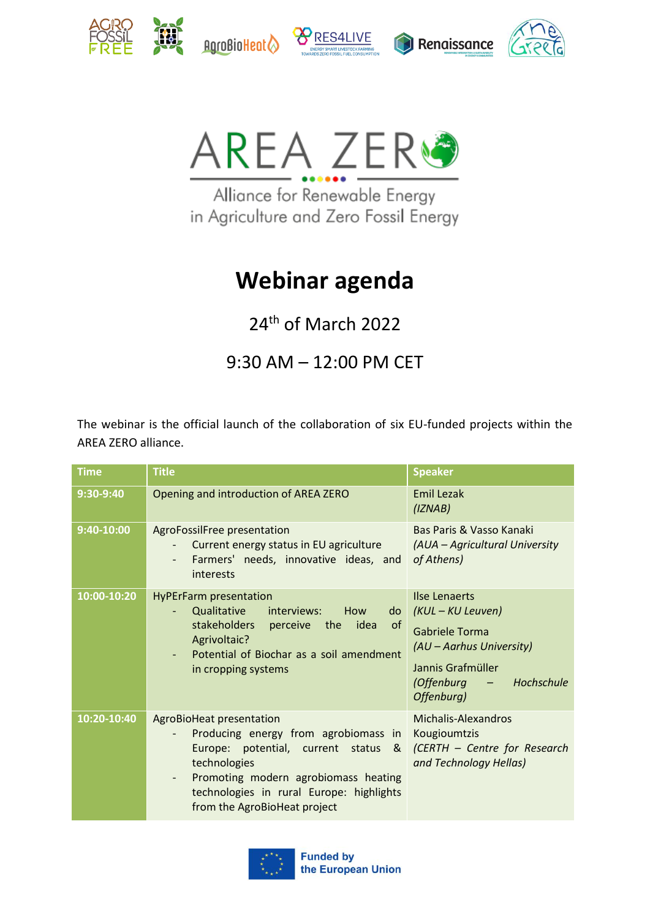











Alliance for Renewable Energy in Agriculture and Zero Fossil Energy

## **Webinar agenda**

24<sup>th</sup> of March 2022

9:30 AM – 12:00 PM CET

The webinar is the official launch of the collaboration of six EU-funded projects within the AREA ZERO alliance.

| <b>Time</b> | <b>Title</b>                                                                                                                                                                                                                                      | <b>Speaker</b>                                                                                                                                                  |
|-------------|---------------------------------------------------------------------------------------------------------------------------------------------------------------------------------------------------------------------------------------------------|-----------------------------------------------------------------------------------------------------------------------------------------------------------------|
| 9:30-9:40   | Opening and introduction of AREA ZERO                                                                                                                                                                                                             | <b>Emil Lezak</b><br>(IZNAB)                                                                                                                                    |
| 9:40-10:00  | AgroFossilFree presentation<br>Current energy status in EU agriculture<br>Farmers' needs, innovative ideas, and<br>interests                                                                                                                      | Bas Paris & Vasso Kanaki<br>(AUA – Agricultural University<br>of Athens)                                                                                        |
| 10:00-10:20 | <b>HyPErFarm presentation</b><br>Qualitative<br>interviews:<br>How<br>do<br>stakeholders perceive the idea<br><sub>of</sub><br>Agrivoltaic?<br>Potential of Biochar as a soil amendment<br>in cropping systems                                    | <b>Ilse Lenaerts</b><br>(KUL – KU Leuven)<br><b>Gabriele Torma</b><br>(AU - Aarhus University)<br>Jannis Grafmüller<br>- Hochschule<br>(Offenburg<br>Offenburg) |
| 10:20-10:40 | AgroBioHeat presentation<br>Producing energy from agrobiomass in<br>potential, current status<br>Europe:<br>&<br>technologies<br>Promoting modern agrobiomass heating<br>technologies in rural Europe: highlights<br>from the AgroBioHeat project | Michalis-Alexandros<br>Kougioumtzis<br>(CERTH - Centre for Research<br>and Technology Hellas)                                                                   |